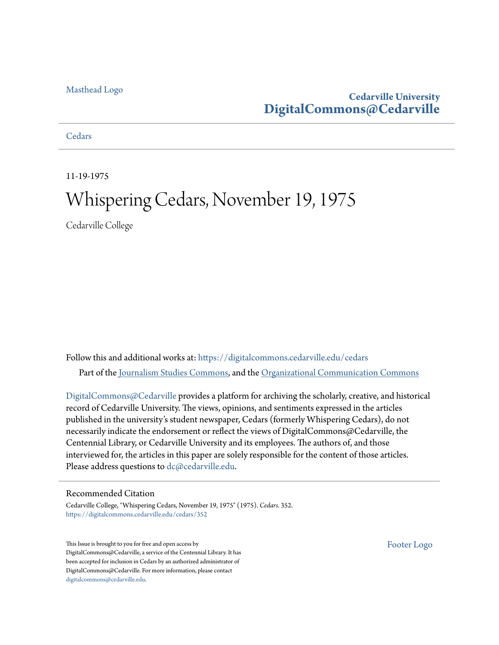### [Masthead Logo](http://www.cedarville.edu/?utm_source=digitalcommons.cedarville.edu%2Fcedars%2F352&utm_medium=PDF&utm_campaign=PDFCoverPages)

## **Cedarville University [DigitalCommons@Cedarville](https://digitalcommons.cedarville.edu?utm_source=digitalcommons.cedarville.edu%2Fcedars%2F352&utm_medium=PDF&utm_campaign=PDFCoverPages)**

## **[Cedars](https://digitalcommons.cedarville.edu/cedars?utm_source=digitalcommons.cedarville.edu%2Fcedars%2F352&utm_medium=PDF&utm_campaign=PDFCoverPages)**

11-19-1975

# Whispering Cedars, November 19, 1975

Cedarville College

Follow this and additional works at: [https://digitalcommons.cedarville.edu/cedars](https://digitalcommons.cedarville.edu/cedars?utm_source=digitalcommons.cedarville.edu%2Fcedars%2F352&utm_medium=PDF&utm_campaign=PDFCoverPages) Part of the [Journalism Studies Commons](http://network.bepress.com/hgg/discipline/333?utm_source=digitalcommons.cedarville.edu%2Fcedars%2F352&utm_medium=PDF&utm_campaign=PDFCoverPages), and the [Organizational Communication Commons](http://network.bepress.com/hgg/discipline/335?utm_source=digitalcommons.cedarville.edu%2Fcedars%2F352&utm_medium=PDF&utm_campaign=PDFCoverPages)

[DigitalCommons@Cedarville](http://digitalcommons.cedarville.edu/) provides a platform for archiving the scholarly, creative, and historical record of Cedarville University. The views, opinions, and sentiments expressed in the articles published in the university's student newspaper, Cedars (formerly Whispering Cedars), do not necessarily indicate the endorsement or reflect the views of DigitalCommons@Cedarville, the Centennial Library, or Cedarville University and its employees. The authors of, and those interviewed for, the articles in this paper are solely responsible for the content of those articles. Please address questions to [dc@cedarville.edu.](mailto:dc@cedarville.edu)

### Recommended Citation

Cedarville College, "Whispering Cedars, November 19, 1975" (1975). *Cedars*. 352. [https://digitalcommons.cedarville.edu/cedars/352](https://digitalcommons.cedarville.edu/cedars/352?utm_source=digitalcommons.cedarville.edu%2Fcedars%2F352&utm_medium=PDF&utm_campaign=PDFCoverPages)

This Issue is brought to you for free and open access by DigitalCommons@Cedarville, a service of the Centennial Library. It has been accepted for inclusion in Cedars by an authorized administrator of DigitalCommons@Cedarville. For more information, please contact [digitalcommons@cedarville.edu](mailto:digitalcommons@cedarville.edu).

[Footer Logo](http://www.cedarville.edu/Academics/Library.aspx?utm_source=digitalcommons.cedarville.edu%2Fcedars%2F352&utm_medium=PDF&utm_campaign=PDFCoverPages)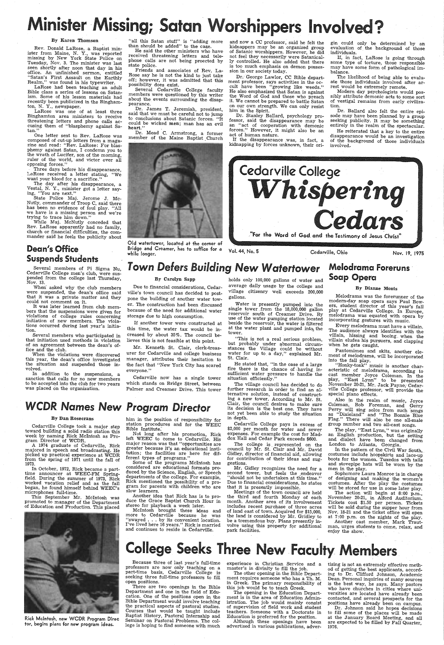# $\mathop{\sf{inisfer}}$   $\mathop{\sf{I}}$ Missing; Satan Worshippers Involved?

### By Karen Thomson

Rev. Donald LaRose, a Baptist min-<br>ister from Maine, N. Y., was reported<br>missing by New York State Police on Tuesday, Nov. 3. The minister was last<br>seen shortly after noon that day in his seem shortly after noon that day in hitled<br>
"Satan's First Assault on the Earthly Realm," was found in his typewriter.

LaRose had been teaching an adult Bible class a series of lessons on Satanism. Some of his lesson materials had recently been publicized in the Binghamton, N. Y., newspaper.

One letter sent to Rev. LaRose was composed of cut-up letters from a magazine and read: "Rev. LaRose: For blas<sup>p</sup>hemy against Satan, I condemn you to the wrath of Lucifer, son of the morning, ruler of the world, and victor over all opposing forces."<br>Three days before his disappearance,

LaRose received a letter stating, "We want your blood for a sacrifice."

The day after his disappearance, a<br>Vestal, N. Y., minister got a letter say-

LaRose was one of at least three Binghamton area ministers to receive threatening letters and phone calls ac cusing them of "blasphemy against Sa tan."

ing, "You are next."<br>State Police Maj. Jerome J. Mc-Nutly, commander of Troop C, said there<br>has been no evidence of foul play. "All we have is a missing person and we're trying to trace him down."

Friends and associates of Rev. La-<br>Rose say he is not the kind to just take Rose say he is not the kind to just take off; however, it was admitted that this

possibility does exist. members were questioned by this writer about the events surrounding the disappearance.<br>Dr. James T. Jeremiah, president.

said that we must be careful not to jump to conclusions about Satanic forces. "It could be wicked men; man has an evil heart.'

 Dr. Mead C. Armstrong, a former member of the Maine Baptist Church

While Maj. McNutly conceded that Rev. LaRose apparently had no family, church or financial difficulties, the commander said he feels the publicity about

# Dean's Office Bridge and Creamer, has to suffice for a Vol. 44, No. 5 Cedarville, Ohio Nov. 19, 1975<br>Suspends Students (1975)

"all this Satan stuff" is "adding more than should be added" to the case.

 He said the other ministers who have received threatening letters and tele<sup>p</sup>hone calls are not being proected by state police.

> sibly attribute demonic acts to some sort of vestigal remains from early civiliza- tion.

> Dr. Ballard also felt the entire epi-<br>sode may have been planned by a group<br>seeking publicity. It may be something<br>entirely in the realm of the spectacular.<br>He reiterated that a key to the entire

disappearance would be an investigation of the background of those individuals involved,

Several members of Pi Sigma Nu, Cedarville College men's club, were sus-<br>pended from the college last Thursday,

When asked why the club members were suspended, the dean's office said that it was a private matter and they could not comment on it.

Old watertower; located at the corner of Bridge and Creamer, has to suffice for a while longer.

# Suspends Students<br>
Several members of Pi Sigma Nu, Town Defers Building New Watertower Melodrama Foreruns<br>
Cedarville College men's club, were sus-<br>
Reproded from the college last Thursday, By Carolyn Sapp holds only 100,0

Several members who participated in that initiation used methods in violation of an agreement between the dean's office and the club.

When the violations were discovered this year, the dean's office investigated the situation and suspended those inthe situation and suspended those in-<br>volved.

and now a CC professor, said he felt the of Satanic worshippers. However, he did not feel they necessarily were Satanically controlled. He also added that there is too much emphasis on demon posses- sion in our society today.

Dr: George Lawlor, CC Bible department professor, says activities in the occult have been "growing like weeds."<br>He also emphasized that Satan is against the Word of God and those who preach it. We cannot be prepared to battle Satan on our own strength. We can only resist him in the Spirit.

Dr. Stanley Ballard, psychology pro- fessor, said the disappearance may be an "act of cooperation with demonic forces." However, it might also be an act of human nature.

 If the disappearance .was, in fact, <sup>a</sup> kidnapping by forces unknown, their origin could only be determined by an evaluation of the background of those individuals.

In October at WEEC-FM Spring-<br>field. During the summer of 1973, Rick worked vacation relief and as the fall began, he found himself behind WEEC's microphones full-time.

 Not long after his promotion, Rick left WEEC to come to Cedarville. His major reason was that "opportunities are greater because it's an educational institution; the facilities are here for different types of programs.

If, in fact, LaRose is going through some type of torture, those responsible may have some form of pathological im- balance.

The likelihood of being able to evalu ate those individuals involved after ar rest would be extremely remote.

Some of the programs McIntosh has<br>considered are educational formats produced by the Science, English, or Speech<br>departments of the college. For example,<br>Rick mentioned the possibility of a program for parents with children who are slow learners.

Water is presently pumped into the single tower .from the 18,000,000 gallon reservoir south of Creamer Drive. By use of the water pumping station located beside the reservoir, the water is filtered at the water plant and pumped into, the tower.



The college is represented on the council by Mr. St. Clair and Mr. David Gidley, director of financial aid, allowing for contribution of their ideas and sug- gestions.

Mr. Gidley recognizes the need for <sup>a</sup> second tower, but feels the endeavor "should not be undertaken at this time." Due to financial considerations, he states that it is presently impossible. Meetings of the town council are held the third and fourth Monday of each month. Another area of its involvement includes recent purchase of three acres the land is considered by Mr. Gridley to be a tremendous buy. Plans presently involve using this property for additional park facilities.

 It was later learned from club members that the suspensions were given for violations of college rules concerning initiation of new members. The violations occurred during last year's initia- tion.

Melodrama was the forerunner of the modern-day soap opera says Paul Bowers, student director of this year's fall melodrama was equated with opera by incorporating gestures with music.

Every melodrama must have a villain. The audience always identifies with the villain, hissing and booing when the villain, eludes his pursuers, and clapping<br>when he gets caught.

"Honky-tonk" music is another characteristic of melodrama, according to cast member Joyce Coleman. In the play, "East Lynn" to be presented<br>November 20-21, Mr. Jack Payne, Cedarwille College professor, will provide the<br>special piano effects.<br>Also in the realm of music, Joyce

In addition to the suspensions, a sanction that calls for no new members to be accepted into the club for two years was placed on the organization.

### By Carolyn Sapp

Also in the realm of music, Joyce<br>Coleman, Bob Foreman, and Gerry<br>Perry will sing solos from such songs<br>as "Dixieland" and "The Bonnie Blue<br>Flag." There will also be one all-male group number and two all-cast songs.

The play, "East Lynn," was originally<br>an English production, but the setting and dialect have been changed from London to Atlanta, Georgia.

Due to financial considerations, Cedarville's town council has decided to postpone the building of another water tower. The construction had been discussed because of the need for additional water storage due to high consumption.

> In the pattern of the Civil War South,<br>costumes include hoopskirts and lace-up costumes include hoopskirts and lace-up boots for the women. Tuxedos with tails and stovepipe hats will be worn by the men in the play.

Sophomore Laura Monroe·is in charge of designing and making the women's costumes. After the play the costumes<br>will be stored for use in some later play.



If another tower were constructed at this time, the water tax would be increased by about 35%. The council believes this is not feasible at this point.

> The action will begin at 8:00 p.m., November 20-21, in Alford Auditorium. Tickets cost \$1.50 per person. Tickets will be sold during the supper hour from Nov. 18-21 and the ticket office will open at 7:00 p.m. on the nights of the play. Another cast member, Mark Trautman, urges students to come, relax, and enjoy the show.

# **College Seeks Three New Faculty Members**

Mr. Kenneth St. Clair, clerk-treasurer for Cedarville and college business manager, attributes their hesitation to the fact that "New York City has scared everyone."

Cedarville now has a single tower which stands on Bridge Street, between Palmer and Creamer Drive. This tower

# *WCDR Names* New *Program Director*

### By Dan Rosecrans

Cedarville College took a major step toward building a solid radio station this week by naming Rick McIntosh as Program Director of WCDR.

A 1974 graduate of Cedarville, Rick majored in speech and broadcasting. He <sup>p</sup>icked up practical experience at WCDR from the spring of 1971 until the fall of 1973.

In October, 1972, Rick became a part-

tising is not an extremely effective meth od of getting the best applicants, accord ing to Dr. Clifford Johnson, Academic Dean. Personal inquiries of many sources is the best way, he says. Many pastors who have churches in cities where universities are located have already been contacted, and several prospects for the positions have already been on campus.

Dr. Johnson said he hopes decisions to fill some of the places will be made at the January Board Meeting, and all are expected to be filled by Fall Quarter, 1976.

This September Mr. Mcintosh was promoted to manager of the Department of Education and Production. This placed



him in the position of responsibility for station procedures and for the WEEC Bible Institute:

Another idea that Rick has is to pro- duce the Grace Baptist Church Hour in stereo for playback a week later.

Mcintosh brought these ideas and more to Cedarville because he was "swayed ... by its convenient location. I've lived here 16 years." Rick is married and continues to reside in Cedarville.

### holds only 100,000 gallons of water and average daily usage by the college and village citizenry well exceeds 200,000 gallons.

"This is not a real serious problem, but probably under abnormal circumstances the Village could be without water for up to a day," explained Mr. St. Clair.

He stated that, "in the case of a large fire there is the chance of having insufficient water pressure to handle the<br>situation efficiently."

The village council has decided to do further research in order to find an alternative solution, instead of constructing <sup>a</sup>new tower. According to Mr. St. Clair, the council desires to make sure its decision is the best one. They have not yet been able to study the situation in depth.

Cedarville College pays *in* excess of \$2,000 per month for water and sewer expenses. For example the cost for Maddox Hall and Cedar Park exceeds \$600.

### By Dianne Monts

Pantomimes and skits, another element of melodrama, will be incorporated into the fall play.

Rick Mcintosh, new WCDR Program Direc tor, begins plans for new program ideas.

Because three of last year's full-time professors are now only teaching on a<br>part-time basis, Cedarville College is seeking three full-time professors to fill open positions.

There are two openings in the Bible Department and one in the field of Education. One of the positions open in the Bible Department would involve teaching the practical aspects of pastoral studies. Courses that would be taught include Baptist History, Pastoral Internship and Seminar on Pastoral Problems. The college is hoping to find someone with much experience in Christian Service and <sup>a</sup>

master's in divinity to fill the job. The other opening in the Bible Department requires someone who has a Th. M. in Greek. The primary responsibility of this job would be to teach Greek.

The opening in the Education Department is in the area of Education Administration. The job would mainly consist of supervision of field work and student teachers. Someone with a Doctorate in

Education is preferred for the position. Although these openings have been advertised in various publications, adver-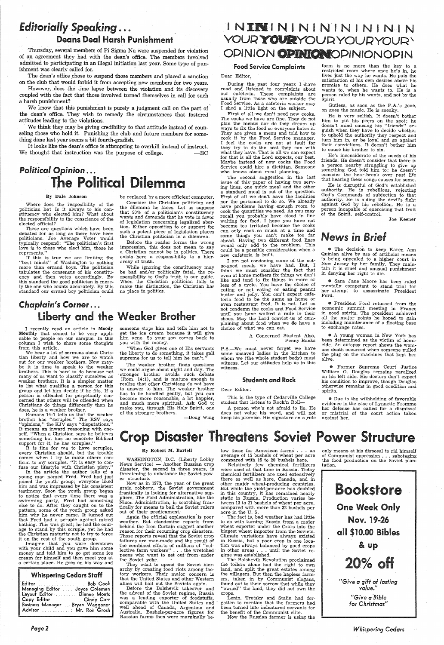# *Editorially Speaking* ... Deans Deal Harsh Punishment

Thursday, several members of Pi Sigma Nu were suspended for violation of an agreement they had with the dean's office. The members involved admitted to participating in an illegal initiation last year. Some type of punishment was clearly called for.

However, does the time lapse between the violation and its discovery coupled with the fact that those involved turned themselves in call for such a harsh punishment?

The dean's office chose to suspend those members and placed a sanction on the club that would forbid it from accepting new members for two years.

We know that this punishment is purely a judgment call on the part of the dean's office. They wish to remedy the circumstances that fostered attitudes leading to the violations.

It looks like the dean's office is attempting to overkill instead of instruct. We thought that instruction was the purpose of college.  $\qquad -BC$ 

# *Pol'itical* Opinion ... **The Political Dilemma**

Where does the resposibility of the politician lie? Is it always to his constituency who elected him? What about the responsibility to the conscience of the elected official?

We think they may be giving credibility to that attitude instead of counseling those who hold it. Punishing the club and future members for something done last year seems a bit fourth-gradish.

### By Dale Johnson

These are questions which have been debated for as long as there have been politicians. Joe Average Voter would typically respond: "The politician's first love is to those who elect him, those he represents."

If this is true we are limiting the "best minds" of Washington to nothing more than errand boys. The politician tabulates the consensus of his constituency and then votes accordingly. By this standard the good politician is merely the one who counts accurately. By this standard our errand boy politician could

> someone stops him and tells him not to get the ice cream because it will give him acne. So your son comes back to you with the money.

> ''When God gives one of His servants the liberty to do something, it takes gall supreme for us to tell him he can't.'

be replaced by <sup>a</sup>more efficient computer.

Consider the Christian politician and the dilemma he faces. Let us suppose that 90% of a politician's constituency wants and demands that he vote in favor of legislation concerning legalized abortion. Either opposition to or support for such a potent piece of legislation places the Christian politician in a dilemma.

During the past four years I shave read and listened to complaints about our cafeteria. These complaints are usually from those who are outside the Food Service. As a cafeteria worker may I shed a little light on the subject.

# *Chaplain's* Corner ... Liberty and the Weaker Brother

Before the reader forms the wrong impression, this does not mean to say <sup>a</sup>Christian cannot be in politics. There exists here a responsibility to a hierarchy of truth.

First of all we don't need new cooks. The cooks we have are fine. They do not plan the menus nor do they dream up ways to fix the food so everyone hates it. They are given a menu and told how to cook it by the Food Service manager. I feel the cooks are not at fault for they try to do the best they can with what they have. That is all we can expect for that is all the Lord expects, our best. Maybe instead of new· cooks the Food Service could hire a dietitian. Someone who knows about meal planning.

While ignoring the constituency may be bad and/or politically fatal, the responsibility to God's truth is our guide. When the Christian politician fails to make this distinction, the Christian has no place in politics.

I recently read an article in Moody Monthly that semed to be very applicable to people on our campus. In this column I wish to share some thoughts from this article.

We hear a lot of sermons about Christian liberty and how we are to watch out for our weaker brothers. Now maybe it is time to speak to the weaker brothers. This is hard to do because not many of us want to classify ourselves as weaker brothers. It is a simpler matter to list what qualifies a person for this group and let him decide if he fits. If <sup>a</sup> person is offended (or perpetually concerned that others will be offended when Christians do things differently than he does, he is a weaker brother.

P.S.-We must never forget we have some unsaved ladies in the kitchen to whom we (the whole student body) must witness. Let our attitudes help us in this witness.

### **Students and Rock**

This is the type of Cedarville College student that listens to Rock'n Roll-

A person who's not afraid to lie. He does not value his word, and will not keep his promise. His signature on a rule against her. Romans 14:1 tells us that the weaker of the stronger brothers. <br>Boug Wing and value has word, and will not or mistrial brother has "scruples." The RSV says brother has "scruples." The RSV says

Gutless, as soon as the P.A.'s gone, on goes the music. He is sneaky.

He is disruptful of God's established authority. He is rebellious, rejecting God's Commands of subjection to that authority. He is aiding the devil's fight against God by his rebellion. He is <sup>a</sup> person incapable of exercising that fruit of the Spirit, self-control.

The "weaker brother finds questions we could argue about night and day. The stronger brother avoids such debate (Rom. 14:1), and is mature enough to realize that other Christians do not have to answer to him. The weaker brother has to be handled gently, but you can become more reasonable, a lot happier, and much more spiritual. Ask God to make you, through His Holy Spirit, one of the stronger brothers.

-Doug Wing

# ININININININININ YOUR YOURYOURYOUR<sup>\</sup> OPINION OPINIONOPINIONOPIN

## food Service Complaints

Dear Editor,

**•** Former Supreme Court Justice William 0. Douglas remains paralized on his left side. His doctors don't expec<sup>t</sup> his condition to improve, though Douglas otherwise remains in good condition and spirits.

fuse our lifestyle with Christian piety.' In the article the author tells of a

The second suggestion in the last issue of this' paper of having two serving lines, one quick meal and the other a standard meal is out of the question. First of all we don't have the facilities nor the personnel to do so. We already have problems having enough room to cook the quantities we need. As you may recall you probably have stood in line waiting for food. I hope you have not become too irritated because the cooks can only cook so much at a time and some things you can't make too far ahead. Having two different food lines would only add to the problem. This could be a possible consideration when a new cafeteria is built.

I am not condoning some of the notso-good meals we have had. But, I think we must consider the fact that even at home mothers fix things we don't like and tend to fix things in more or less of a cycle. You have the choice of eating or not eating or eating peanut butter and jelly. You can't expect cafeteria food to be the same as home or even restaurant food. It is not. Let us not condemn the cooks and Food Service until you have walked a mile in their shoes. May the Lord convict us of complaining about food when we do have <sup>a</sup> choice of what we can eat.

low those for American farms . . . an average of 15 bushels of wheat per acre compared with 15 to 20 bushels here.

The fact is, bad weather has had little to do with turning Russia from a major wheat exporter under the Czars into the biggest wheat importer from the Soviets. Climate variations have always existed in Russia, but a poor crop in one location was always balanced by good crops in other areas . . . until the Soviet re gime was established. those for American farms ... an only means at his disposal to rid himself<br>paperal disposition is to a bushels of wheat per acre of Communist oppression... sabotaging<br>Relatively few chemical fertilizers tation.<br>Relatively f

A Concerned Student Also, Penny Banks

### Dear Editor:

The Bolshevik Revolution proclaimed<br>the toilers alone had the right to own land, and split the great estates among the villagers. But then the hapless farm ers, taken in by Communist slogans, found out to their sorrow that while they "owned" the land, they did not own the crops.

form is no more than the key to <sup>a</sup> restricted room where once he's in, he lives just the way he wants. He puts the satisfaction of his own desires above his promise to others. He does what he wants to, when he wants to. He is <sup>a</sup> person ruled by his wants, and not by the Spirit.

He is very selfish. It doesn't bother him to put his peers on the spot; he doesn't mind causing his "friends" anguish when they have to decide whether to uphold the authority they respect and turn him in, or be loyal and go against their convictions. It doesn't bother him to cause his brother to sin.

He's inconsiderate of the needs of his friends. He doesn't consider that there is a person nearby struggling to give up something God told him to; he doesn't consider the heartbreak over past life that hearing these songs causes for some.

Joe Keener

# *News* in *Brief*

• The decision to keep Karen Ann Quinlan alive by use of artificial means is being appealed to a higher court in New Jersey by her family. They maintain it is cruel and unusual punishment in denying her right to die.

• Sara Jane Moore has been ruled mentally competent to stand trial for her atempt to assassinate President Ford.

e President Ford returned from the economic summit meeting in France in good spirits. The president achieved all the major points he hoped to gain including maintenance of a floating base to exchange rates.

• A young woman in New York has been determined as the victim of homicide. An autopsy report shows the womans death occurred when someone pulled the plug on the machines that kept her alive.

• Due to the withholding of favorable evidence in the case of Lynnette Fromme her defense has called for a dismissal· or mistrial of the court action taken

# self. "When a Christian says he believes Crop Disaster Threatens Soviet Power Structure

"opinions," the KJV says "disputations." It means an inward reasoning with oneself. "When a Christian says he believes something but has no concrete Biblical

It is fine for me to have scruples, every Christian should, but the trouble comes when I try to make others conform to my scruples. "It is easy to con-

young man named Fred. Fred had just joined the youth group; everyone liked him and was impressed by his consistent testimony. Soon the youth group began to notice that every time there was <sup>a</sup> swimming party, Fred had something else to do. After they caught on to the pattern, some of the youth group asked him why he never came. It turned out that Fred had a scruple against mixed bathing. This was great; he had the courage to stand by this scruple, yet he had the Christian maturity not to try to force it on the rest of the youth group.

Imagine that you were downtown with your child and you gave him some money and told him to go get some ice cream for himself and then meet you at <sup>a</sup>certain place. He goes on his way and

| <b>Whispering Cedars Staff</b>                                                                                                                    |                        |
|---------------------------------------------------------------------------------------------------------------------------------------------------|------------------------|
| Editor  Bob Cook<br>Managing Editor  Joyce Coleman<br>Layout Editor  Dianne Monts<br>Copy Editor  Cindy Carr<br>Business Manager . Bryan Waggoner | Advisor  Mr. Ron Grosh |
|                                                                                                                                                   |                        |

### By Robert M. Bartell

WASHINGTON, D.C. (Liberty Lobby News Service) - Another Russian crop disaster, the second in three years, is threatening to unbalance the Soviet power structure. Now as in 1973, the year of the grea<sup>t</sup> grain robbery, the Soviet government frantically is looking for alternative suppliers. The Ford Administration, like the Nixon Administration; is searching frantically for means to bail the Soviet rulers out of their predicament. Again the official explanation 'is poor weather. But clandestine reports from behind the Iron Curtain suggest another reason for their recurring crop disasters. Those reports reveal that the Soviet crop failures are man-made and the result of the combined efforts of millions of "collective farm workers" . . . the wretched peons who want to get out from under the Soviet yoke. They want to upend the Soviet hierarchy by creating food riots among factory workers. Their major concern is that the United States and other Western allies will bail out the Soviets again. Before the Bolshevik takeover and the advent of the Soviet regime, Russia was a leading\_ exporter of foodstuffs, comparable with the United States and well ahead of Canada, Argentina and Australia. Bushels-per-acre figures for Russian farms then were marginally be-

Relatively few chemical fertilizers were used at that time in Russia. Today

chemical fertilizers are used extensively there as well as here, Canada, and in other major wheat-producing countries. But while the yield-per-acre has doubled in this country, it has remained nearly static in Russia. Production varies be tween 13 to 21 bushels of wheat per acre, compared with more than 32 bushels per acre in the U. S.

Lenin, Trotsky and Stalin had for gotten to mention that the farmers had been turned into indentured servants for the benefit of the Communist elite.

*Whispering Cedars*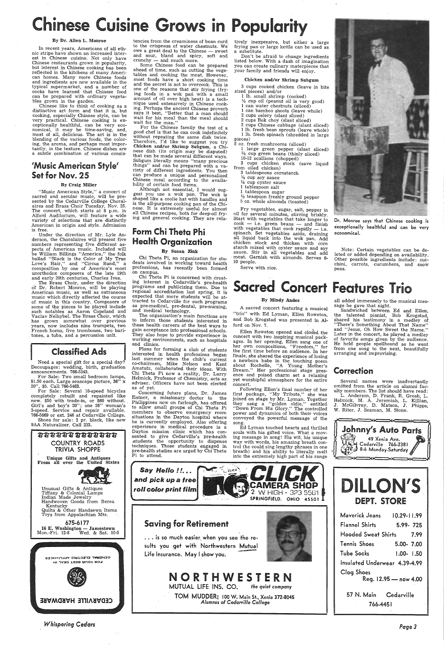In recent years, Americans of all ethnic stripe have shown an increased interest in Chinese cuisine. Not only have Chinese restaurants grown in popularity, but interest in Chinese cooking has been reflected in the kitchens of many American homes. Many more Chinese foods and ingredients are now available in the typical supermarket, and a number of cooks have learned that Chinese food can be prepared with ordinary vegeta-<br>bles grown in the garden.

# se Cuisine Grows in Popularit

### By Dr. Allen L. Monroe

Chinese like to think of cooking as <sup>a</sup>distinctive art form and that it is, but cooking, especially Chinese style, can be very practical. Chinese cooking is ex-<br>ceptionally healthful, can be very economical, it may be time-saving, and, most *ot'* all, delicious. The art is in the blending of the various foods, the coloring, the aroma, and perhaps most impor- tantly in the texture. Chinese dishes are a subtle combination of various consis-

Under the direction of Mr. Lyle Anderson, the Choralaires will present five numbers representing five different aspects of American: music. Included will be William Billings "America," the folk ballad "Black is the Color of My True Love's Hair," and "Circus Band," <sup>a</sup> composition by one of America's most unorthodox composers of the late 19th and early 20th centuries, Charles Ives.

The Brass Choir, under the direction of Dr. Robert Monroe, will be playing American music, as well as extraneous music which directly affected the course of music in this country. Composers of some of the pieces to be played include<br>such notables as Aaron Copeland and Vaclav Nelhybel. The Brass Choir, which has grown somewhat over previous years, now includes nine trumpets, tw\_o French horns, five trombones, two. baritones, a tuba, and a percussion unit.

# and clinics.

## 'Music American Style' Set for Nov. 25

### By Craig Miller

"Music American Style," a concert of sacred and secular music, will be pre-<br>sented by the Cedarville College Choralsented by the Cedarville College Choral- aires and Brass Choir Tuesday, Nov. 25. The concert, which starts at 8 p.m. in Alford Auditorium, will feature a wide variety of selections that are distinctly American in origin and style. Admission is free.

675-6177 16 E. Washington - Jamestown<br>Mon.-Fri. 12-8 Wed. & Sat. 10-5

SEMERNT EFECIBIC VEEFIYMCES FOR YOUR BEST DEAL IN



CEDVKAITTE HVKDMVKE

tencies from the creaminess of bean curd to the crispness of water chestnuts. We owe a great deal to the Chinese  $-$  sweet and sour, bland and spicy, soft and<br>crunchy — and much more.

 $\mu$ come  $\mu$  and much more.<br>Some Chinese food can be prepared ahead of time, such as cutting the vege-<br>tables and cooking the meat. However, most foods have a short cooking time and the secret is not to overcook. This is one of the reasons that stir frying (frying foods in a wok pan with a small amount of oil over high heat) is a technique used extensively in Chinese cooking. Perhaps the ancient Chinese proverb says it best, "Better that <sup>a</sup>man should wait for his meal than the meal should wait for the man.'

For the Chinese family the test of a good chef is that he can cook indefinitely without repeating the same dish twice.<br>Therefore, I'd like to suggest you try Chicken and/or Shrimp Subgum, a Chinese dish (its origin may be disputed) that can be made several different ways.<br>Subgum literally means "many precious<br>things" and can be prepared with a variety of different ingredients. You then can produce a unique and personalized Chinese meal according to the availability of certain food items.

Although not essential, I would suggest you use a wok pan. The wok is shaped like a coolie hat with handles and is the all-purpose cooking pan of the Chinese. It is extremely useful for almost<br>all Chinese recipes, both for deep-oil frying and general cooking. They are rela-

Need a special gift for a special day? Decoupages: wedding, birth, graduation announcements. 766-5343.

For Sale: Two small bedroom lamps, \$1.50 each. Large seascape picture, 36" <sup>x</sup> 20", \$5. Call 766-5463.

Don't be afraid to change ingredients listed below. With a dash of imagination you can create culinary materpieces that your family and friends will enjoy.

For Sale: Several 10-speed bicycles completely rebuilt and repainted like new. \$50 with trade-in, or \$60 without. Girl's and boy's 20"; one 26" woman's 3-speed. Service and repair available. 766-5869 or ext. 246 at Cedarville College. Shoes for sale: 2 pr. black, like-new

9AA Naturalizer. Call 233.

asaara **saa**saar COUNTRY ROADS TRIVIA SHOPPE Unique Gifts and Antiques<br>From all over the United States

- 1 large green pepper (slant sliced)  $\frac{3}{4}$  cup green beans (thinly sliced)
- 10-12 scallions (chopped)

<sup>3</sup>cups chicken stock (save liquid from oiled chicken)

Unusual Gifts & Antiques Tiffany & Colonial Lamps Indian Made Jewelry Handwoven Goods from Berea Kentucky Quilts & Other Handsewn Items Toys from Appalachian Mts.

*Whispering Cedars* 

Fry vegetables, sugar, salt, pepper in oil for several minutes, stirring briskly.<br>Start with vegetables that take longer to cook -- i.e. green beans -- and finish with vegetables that cook rapidly  $-$  i.e. spinach. Set vegetables aside, draining all liquid back· into the wok pan. Add chicken stock and thicken with corn starch mixed with oyster sauce and soy sauce. Stir in all vegetables and add  $\cdot$  meat. Garnish with almonds. Serves 8-10 people.

The organization's main functions are to inform those students interested in these health careers of the best ways to gain acceptance into professional schools. They also hope to provide experience in working environments, such as hospitals

and pick up a free roll color print lilm

song. . Ed Lyman touched hearts and thrilled souls with his gifted voice. What a moving message in song! His wit, his unique way with words, his amazing breath control (he could sing lengthy phrases in one breath) and his ability to literally melt into the extremely high part of his range

## Form Chi Theta Phi Health Organization

### By Susan Zink

... is so much easier when you see the resuits you get with Northwestern Mutual life Insurance. May I show you.

Chi Theta Pi, an organization for stu dents involved in working toward health professions, has recently been formed on campus.

tively inexpensive, but either a large frying pan or large kettle can be used as a substitute.

### Chicken and/or. Shrimp Subgum

3 cups cooked chicken (leave in bite sized pieces) and/or

# DILLON'S DEPT. STORE

- 1 lb. small shrimp (cooked)
- $\frac{1}{2}$  cup oil (peanut oil is very good) 1 can water chestnuts (sliced)
- can bamboo shoots (leave whole)
- 2 cups celery (slant sliced)
- 2 cups Bok choy (slant sliced)
- <sup>2</sup>cups Chinese cabbage (slant sliced)

<sup>1</sup>lb. fresh bean sprouts (leave whole) <sup>1</sup>lb. fresh spinach (shredded in large pieces)

8 oz. fresh mushrooms (sliced)

- 3 tablespoons cornstarch
- $\frac{1}{4}$  cup soy sauce
- $\frac{1}{4}$  cup oyster sauce
- 1 tablespoon salt
- 1 tablespoon sugar
- $\frac{1}{2}$  teaspoon freshly ground pepper 5 oz. whole almonds (toasted)

Serve with rice.

Dr. Monroe says that Chinese cooking is exceptionally healthful and can be very

economical.

Note: Certain vegetables can be de-Other possible ingredients include: zucchini, carrots, cucumbers, and snow

peas.

Chi Theta Pi is concerned with creating interest in Cedarville's pre-health programs and publicizing them. Due to regional accreditation last spring, it is expected that more students will be attracted to Cedarville for such. programs as pre-medical, pre-dental, pre-nursing, and medical technology.

# cred Concert Features Trio

Plans for forming a club of students interested in health professions began last summer when the club's current co-chairmen, Mike Nelson and Kent Amstutz, collaborated their ideas. With Chi Theta Pi now a reality, Dr. Larry Helmick, Professor of Chemistry, acts as adviser. Officers have not been elected as of yet.

Concerning future plans, Dr. James Entner, a missionary doctor to the Philippines now on furlough, has offered to allow small groups of Chi Theta Pi members to observe emergency room situations in the Dayton hospital where<br>he is currently employed. Also offering experience in medical procedure is a Dayton mission clinic which has consented to give Cedarville's pre-health<br>students the opportunity to dispense techniques. Those students engaged in pre-health studies are urged by Chi Theta Pi to attend.

Saving for Retirement

### By Mindy Andes

<sup>A</sup>sacred concert featuring a musical "trio" with Ed Lyman, Ellen Roweton, and Bob Krogstad was presented in Alford on Nov. 7.

Ellen Roweton opened and clos'ed the concert with two inspiring musical packher own compositions, "Freedom," for the first time before an audience. In her finale, she shared the experience of losing a newborn babe in the touching poem about Rochelle, "A Young Mother's Dream." Her professional stage presence and poised charm set a relaxing yet worshipful atmosphere for the entire concert.





 Following Ellen's final number of her first package, "My Tribute," she was joined on stage by Mr. Lyman. Together they sang a "golden oldie," entitled "Down From His Glory." The controlled power and dynamics of both their voices conveyed the powerful message of the

# NORTHWESTERN

MUTUAL LIFE INS. CO. *the quiet company* 

TOM MUDDER: 100 w. Main St., Xenia 372-8045 *Alumnus of Cedarville College* 



Sandwiched between Ed and Ellen, shared his testimony in a medley of. ''There's Something About That Name'' and "Jesus, Oh How Sweet the Name." Later in the concert, he played a medley of favorite songs given by the audience. He held people spellbound as he went from one song to the next, beautifully arranging and improvising.

## Correction

Several names were inadvertantly omitted from the article on alunmi faculty members. The list should have read:

L. Anderson, D. Frank, R. Grosh, L. Helmick, M. A. Jeremiah, L. Killian, J. McGilvray, D. Matson, J. Phipps, W. Riter, J. Seaman, M. Stone.







| Maverick Jeans                      | 10.29-11.99   |  |  |
|-------------------------------------|---------------|--|--|
| Flannel Shirts                      | 5.99-725      |  |  |
| Hooded Sweat Shirts<br>7.99         |               |  |  |
| Tennis Shoes                        | 5.00-7.00     |  |  |
| <b>Tube Socks</b>                   | $1.00 - 1.50$ |  |  |
| Insulated Underwear 4.39-4.99       |               |  |  |
| Clog Shoes<br>Reg. 12.95 - now 4.00 |               |  |  |
| 57 N. Main                          | Cedarville    |  |  |
| 766-4451                            |               |  |  |
|                                     |               |  |  |